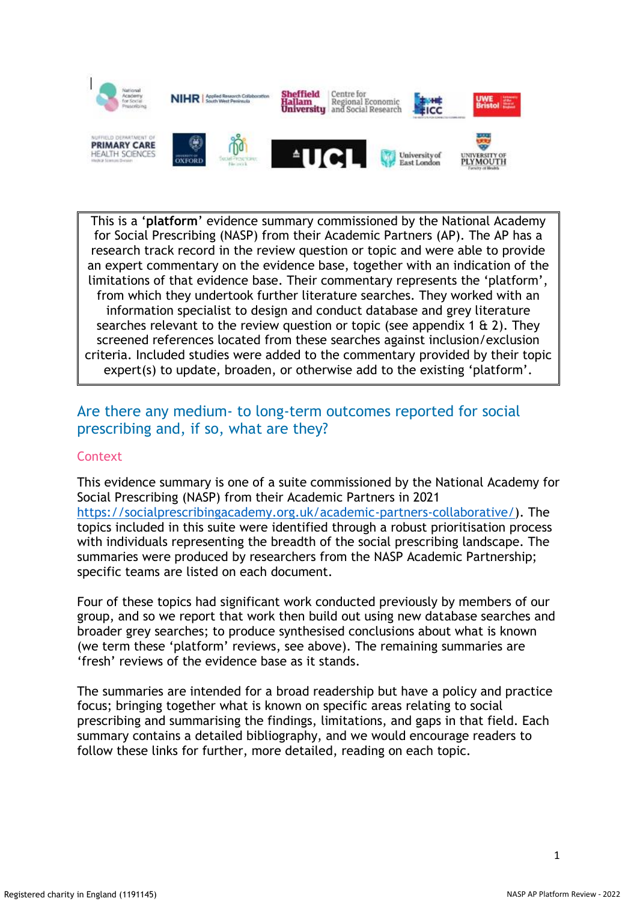

This is a '**platform**' evidence summary commissioned by the National Academy for Social Prescribing (NASP) from their Academic Partners (AP). The AP has a research track record in the review question or topic and were able to provide an expert commentary on the evidence base, together with an indication of the limitations of that evidence base. Their commentary represents the 'platform', from which they undertook further literature searches. They worked with an information specialist to design and conduct database and grey literature searches relevant to the review question or topic (see appendix 1  $\alpha$  2). They screened references located from these searches against inclusion/exclusion criteria. Included studies were added to the commentary provided by their topic expert(s) to update, broaden, or otherwise add to the existing 'platform'.

# Are there any medium- to long-term outcomes reported for social prescribing and, if so, what are they?

# **Context**

This evidence summary is one of a suite commissioned by the National Academy for Social Prescribing (NASP) from their Academic Partners in 2021 [https://socialprescribingacademy.org.uk/academic-partners-collaborative/\)](https://socialprescribingacademy.org.uk/academic-partners-collaborative/). The topics included in this suite were identified through a robust prioritisation process with individuals representing the breadth of the social prescribing landscape. The summaries were produced by researchers from the NASP Academic Partnership; specific teams are listed on each document.

Four of these topics had significant work conducted previously by members of our group, and so we report that work then build out using new database searches and broader grey searches; to produce synthesised conclusions about what is known (we term these 'platform' reviews, see above). The remaining summaries are 'fresh' reviews of the evidence base as it stands.

The summaries are intended for a broad readership but have a policy and practice focus; bringing together what is known on specific areas relating to social prescribing and summarising the findings, limitations, and gaps in that field. Each summary contains a detailed bibliography, and we would encourage readers to follow these links for further, more detailed, reading on each topic.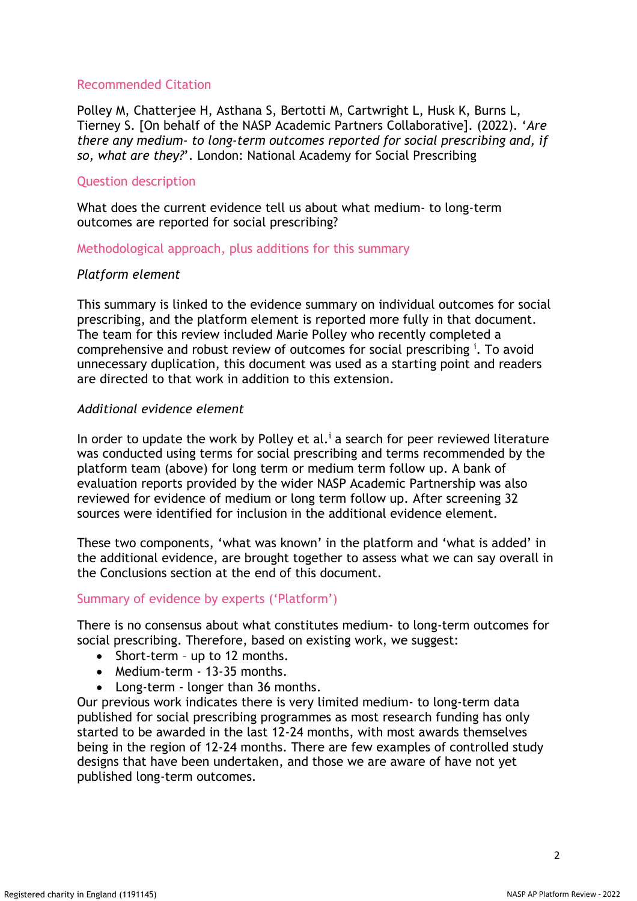### Recommended Citation

Polley M, Chatterjee H, Asthana S, Bertotti M, Cartwright L, Husk K, Burns L, Tierney S. [On behalf of the NASP Academic Partners Collaborative]. (2022). '*Are there any medium- to long-term outcomes reported for social prescribing and, if so, what are they?*'. London: National Academy for Social Prescribing

### Question description

What does the current evidence tell us about what medium- to long-term outcomes are reported for social prescribing?

Methodological approach, plus additions for this summary

### *Platform element*

This summary is linked to the evidence summary on individual outcomes for social prescribing, and the platform element is reported more fully in that document. The team for this review included Marie Polley who recently completed a comprehensive and robust review of outcomes for social prescribing <sup>i</sup>. To avoid unnecessary duplication, this document was used as a starting point and readers are directed to that work in addition to this extension.

### *Additional evidence element*

In order to update the work by Polley et al.<sup> $i$ </sup> a search for peer reviewed literature was conducted using terms for social prescribing and terms recommended by the platform team (above) for long term or medium term follow up. A bank of evaluation reports provided by the wider NASP Academic Partnership was also reviewed for evidence of medium or long term follow up. After screening 32 sources were identified for inclusion in the additional evidence element.

These two components, 'what was known' in the platform and 'what is added' in the additional evidence, are brought together to assess what we can say overall in the Conclusions section at the end of this document.

### Summary of evidence by experts ('Platform')

There is no consensus about what constitutes medium- to long-term outcomes for social prescribing. Therefore, based on existing work, we suggest:

- Short-term up to 12 months.
- Medium-term 13-35 months.
- Long-term longer than 36 months.

Our previous work indicates there is very limited medium- to long-term data published for social prescribing programmes as most research funding has only started to be awarded in the last 12-24 months, with most awards themselves being in the region of 12-24 months. There are few examples of controlled study designs that have been undertaken, and those we are aware of have not yet published long-term outcomes.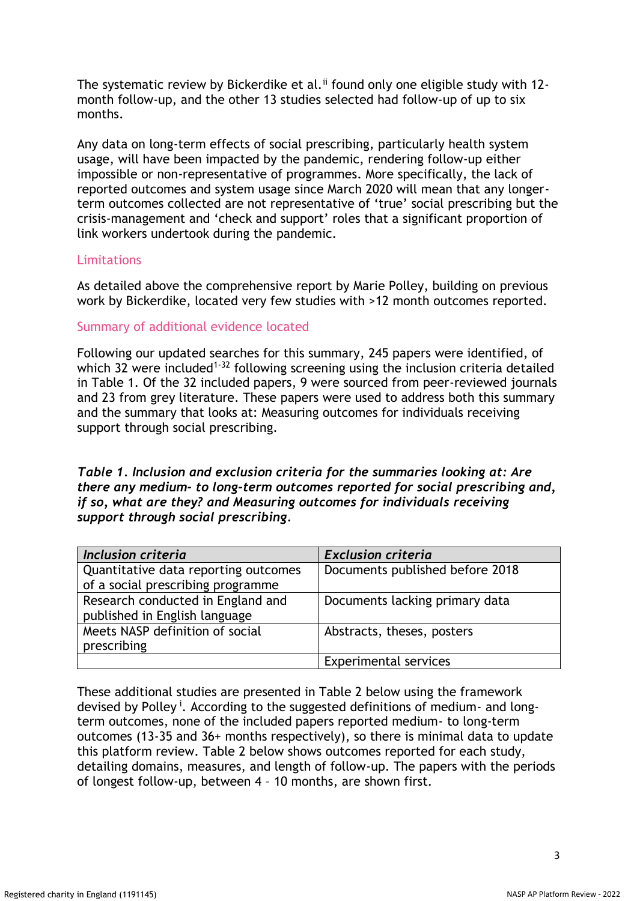The systematic review by Bickerdike et al.<sup>ii</sup> found only one eligible study with 12month follow-up, and the other 13 studies selected had follow-up of up to six months.

Any data on long-term effects of social prescribing, particularly health system usage, will have been impacted by the pandemic, rendering follow-up either impossible or non-representative of programmes. More specifically, the lack of reported outcomes and system usage since March 2020 will mean that any longerterm outcomes collected are not representative of 'true' social prescribing but the crisis-management and 'check and support' roles that a significant proportion of link workers undertook during the pandemic.

### Limitations

As detailed above the comprehensive report by Marie Polley, building on previous work by Bickerdike, located very few studies with >12 month outcomes reported.

### Summary of additional evidence located

Following our updated searches for this summary, 245 papers were identified, of which 32 were included<sup>1-32</sup> following screening using the inclusion criteria detailed in Table 1. Of the 32 included papers, 9 were sourced from peer-reviewed journals and 23 from grey literature. These papers were used to address both this summary and the summary that looks at: Measuring outcomes for individuals receiving support through social prescribing.

*Table 1. Inclusion and exclusion criteria for the summaries looking at: Are there any medium- to long-term outcomes reported for social prescribing and, if so, what are they? and Measuring outcomes for individuals receiving support through social prescribing.*

| Inclusion criteria                   | <b>Exclusion criteria</b>       |  |  |  |
|--------------------------------------|---------------------------------|--|--|--|
| Quantitative data reporting outcomes | Documents published before 2018 |  |  |  |
| of a social prescribing programme    |                                 |  |  |  |
| Research conducted in England and    | Documents lacking primary data  |  |  |  |
| published in English language        |                                 |  |  |  |
| Meets NASP definition of social      | Abstracts, theses, posters      |  |  |  |
| prescribing                          |                                 |  |  |  |
|                                      | <b>Experimental services</b>    |  |  |  |

These additional studies are presented in Table 2 below using the framework devised by Polley<sup>i</sup>. According to the suggested definitions of medium- and longterm outcomes, none of the included papers reported medium- to long-term outcomes (13-35 and 36+ months respectively), so there is minimal data to update this platform review. Table 2 below shows outcomes reported for each study, detailing domains, measures, and length of follow-up. The papers with the periods of longest follow-up, between 4 – 10 months, are shown first.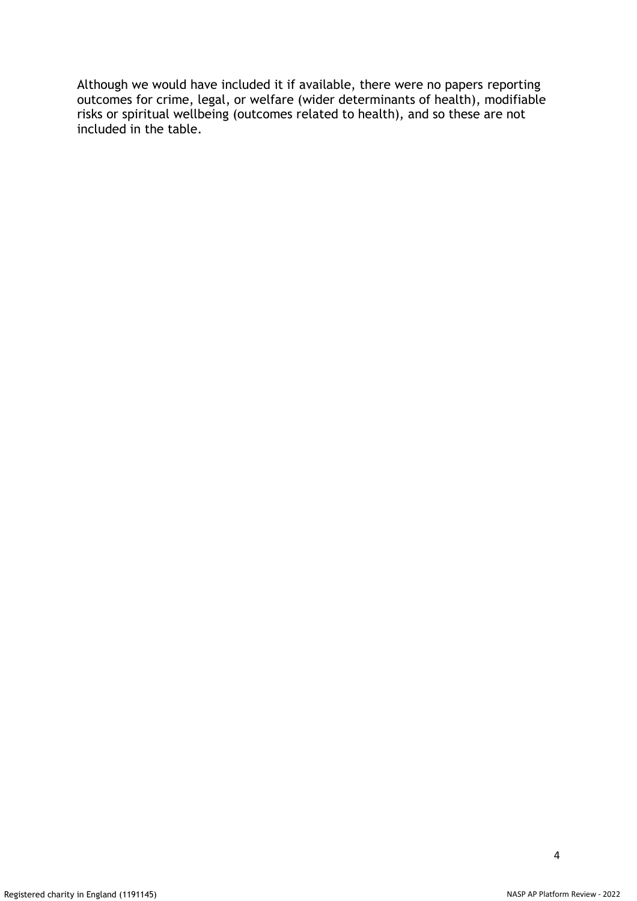Although we would have included it if available, there were no papers reporting outcomes for crime, legal, or welfare (wider determinants of health), modifiable risks or spiritual wellbeing (outcomes related to health), and so these are not included in the table.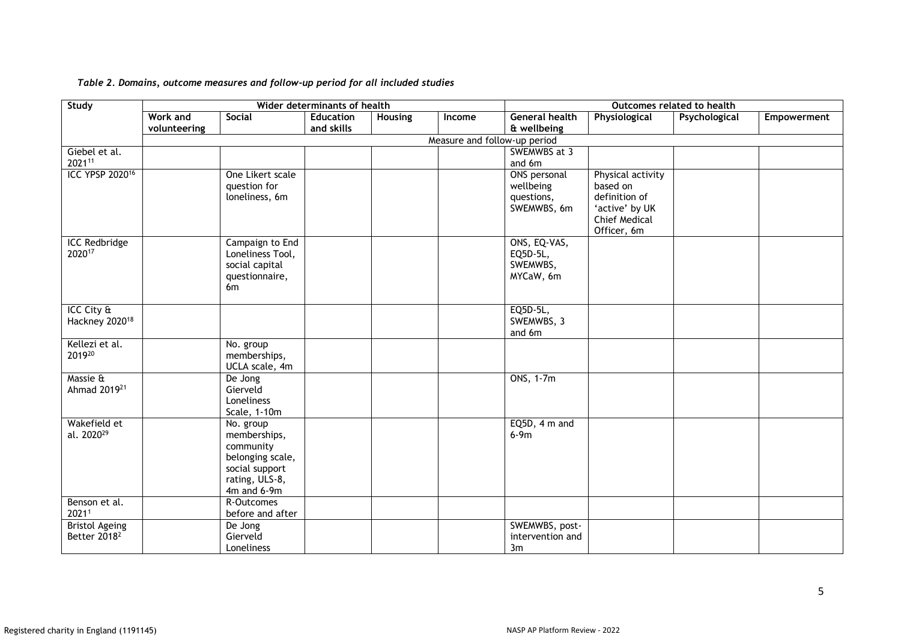| Study                                                  | Wider determinants of health    |                                                                                                               |                                |                |        | Outcomes related to health                             |                                                                                                         |               |             |  |
|--------------------------------------------------------|---------------------------------|---------------------------------------------------------------------------------------------------------------|--------------------------------|----------------|--------|--------------------------------------------------------|---------------------------------------------------------------------------------------------------------|---------------|-------------|--|
|                                                        | <b>Work and</b><br>volunteering | Social                                                                                                        | <b>Education</b><br>and skills | <b>Housing</b> | Income | <b>General health</b><br>& wellbeing                   | Physiological                                                                                           | Psychological | Empowerment |  |
|                                                        | Measure and follow-up period    |                                                                                                               |                                |                |        |                                                        |                                                                                                         |               |             |  |
| Giebel et al.<br>202111                                |                                 |                                                                                                               |                                |                |        | SWEMWBS at 3<br>and 6m                                 |                                                                                                         |               |             |  |
| ICC YPSP 2020 <sup>16</sup>                            |                                 | One Likert scale<br>question for<br>loneliness, 6m                                                            |                                |                |        | ONS personal<br>wellbeing<br>questions,<br>SWEMWBS, 6m | Physical activity<br>based on<br>definition of<br>'active' by UK<br><b>Chief Medical</b><br>Officer, 6m |               |             |  |
| <b>ICC Redbridge</b><br>202017                         |                                 | Campaign to End<br>Loneliness Tool,<br>social capital<br>questionnaire,<br>6 <sub>m</sub>                     |                                |                |        | ONS, EQ-VAS,<br>EQ5D-5L,<br>SWEMWBS,<br>MYCaW, 6m      |                                                                                                         |               |             |  |
| $ICC$ City $\frac{E}{C}$<br>Hackney 2020 <sup>18</sup> |                                 |                                                                                                               |                                |                |        | EQ5D-5L,<br>SWEMWBS, 3<br>and 6m                       |                                                                                                         |               |             |  |
| Kellezi et al.<br>201920                               |                                 | No. group<br>memberships,<br>UCLA scale, 4m                                                                   |                                |                |        |                                                        |                                                                                                         |               |             |  |
| Massie &<br>Ahmad 2019 <sup>21</sup>                   |                                 | De Jong<br>Gierveld<br>Loneliness<br>Scale, 1-10m                                                             |                                |                |        | ONS, 1-7m                                              |                                                                                                         |               |             |  |
| Wakefield et<br>al. 2020 <sup>29</sup>                 |                                 | No. group<br>memberships,<br>community<br>belonging scale,<br>social support<br>rating, ULS-8,<br>4m and 6-9m |                                |                |        | $EQ5D, 4 m$ and<br>$6-9m$                              |                                                                                                         |               |             |  |
| Benson et al.<br>20211                                 |                                 | R-Outcomes<br>before and after                                                                                |                                |                |        |                                                        |                                                                                                         |               |             |  |
| <b>Bristol Ageing</b><br>Better 2018 <sup>2</sup>      |                                 | De Jong<br>Gierveld<br>Loneliness                                                                             |                                |                |        | SWEMWBS, post-<br>intervention and<br>3m               |                                                                                                         |               |             |  |

#### *Table 2. Domains, outcome measures and follow-up period for all included studies*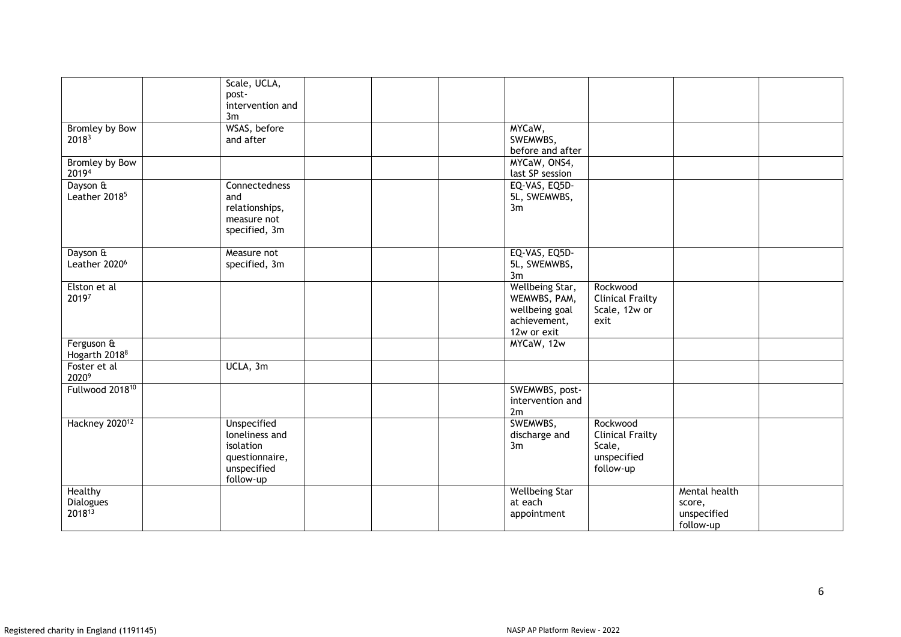|                             | Scale, UCLA,<br>post-         |  |                              |                          |                          |  |
|-----------------------------|-------------------------------|--|------------------------------|--------------------------|--------------------------|--|
|                             | intervention and<br>3m        |  |                              |                          |                          |  |
| Bromley by Bow              | WSAS, before                  |  | MYCaW,                       |                          |                          |  |
| 20183                       | and after                     |  | SWEMWBS,<br>before and after |                          |                          |  |
| Bromley by Bow              |                               |  | MYCaW, ONS4,                 |                          |                          |  |
| 20194                       |                               |  | last SP session              |                          |                          |  |
| Dayson &                    | Connectedness                 |  | EQ-VAS, EQ5D-                |                          |                          |  |
| Leather 2018 <sup>5</sup>   | and                           |  | 5L, SWEMWBS,                 |                          |                          |  |
|                             | relationships,<br>measure not |  | 3m                           |                          |                          |  |
|                             | specified, 3m                 |  |                              |                          |                          |  |
|                             |                               |  |                              |                          |                          |  |
| Dayson &                    | Measure not                   |  | EQ-VAS, EQ5D-                |                          |                          |  |
| Leather 2020 <sup>6</sup>   | specified, 3m                 |  | 5L, SWEMWBS,<br>3m           |                          |                          |  |
| Elston et al                |                               |  | Wellbeing Star,              | Rockwood                 |                          |  |
| 20197                       |                               |  | WEMWBS, PAM,                 | <b>Clinical Frailty</b>  |                          |  |
|                             |                               |  | wellbeing goal               | Scale, 12w or            |                          |  |
|                             |                               |  | achievement,<br>12w or exit  | exit                     |                          |  |
| Ferguson &                  |                               |  | MYCaW, 12w                   |                          |                          |  |
| Hogarth 2018 <sup>8</sup>   |                               |  |                              |                          |                          |  |
| Foster et al<br>20209       | UCLA, 3m                      |  |                              |                          |                          |  |
| Fullwood 2018 <sup>10</sup> |                               |  | SWEMWBS, post-               |                          |                          |  |
|                             |                               |  | intervention and<br>2m       |                          |                          |  |
| Hackney 2020 <sup>12</sup>  | <b>Unspecified</b>            |  | SWEMWBS,                     | Rockwood                 |                          |  |
|                             | loneliness and                |  | discharge and                | <b>Clinical Frailty</b>  |                          |  |
|                             | isolation                     |  | 3m                           | Scale,                   |                          |  |
|                             | questionnaire,<br>unspecified |  |                              | unspecified<br>follow-up |                          |  |
|                             | follow-up                     |  |                              |                          |                          |  |
| Healthy                     |                               |  | <b>Wellbeing Star</b>        |                          | Mental health            |  |
| Dialogues                   |                               |  | at each                      |                          | score,                   |  |
| 201813                      |                               |  | appointment                  |                          | unspecified<br>follow-up |  |
|                             |                               |  |                              |                          |                          |  |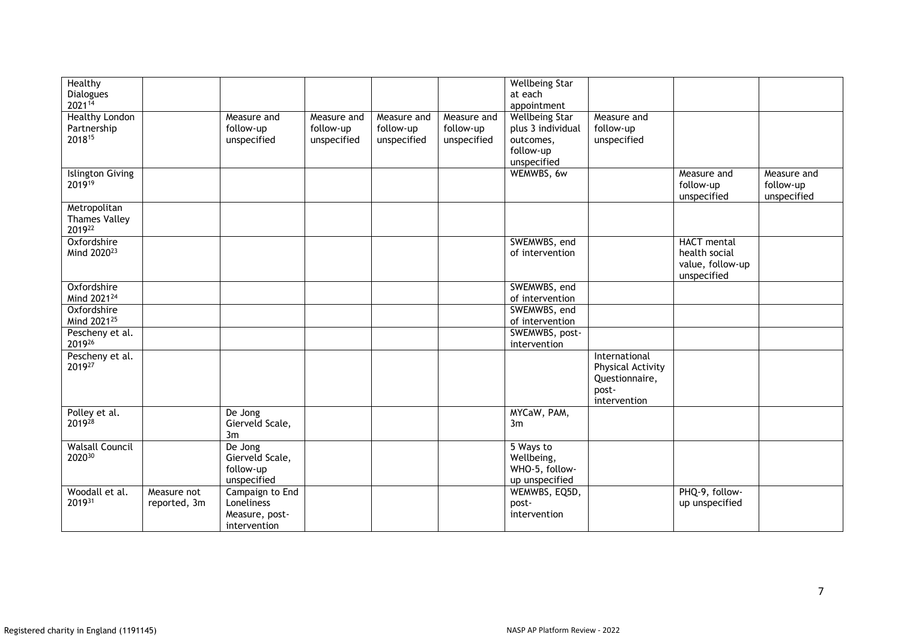| Healthy<br><b>Dialogues</b>                    |                             |                                                                 |                                         |                                         |                                         | <b>Wellbeing Star</b><br>at each                                                    |                                                                               |                                                                 |                                         |
|------------------------------------------------|-----------------------------|-----------------------------------------------------------------|-----------------------------------------|-----------------------------------------|-----------------------------------------|-------------------------------------------------------------------------------------|-------------------------------------------------------------------------------|-----------------------------------------------------------------|-----------------------------------------|
| 202114                                         |                             |                                                                 |                                         |                                         |                                         | appointment                                                                         |                                                                               |                                                                 |                                         |
| <b>Healthy London</b><br>Partnership<br>201815 |                             | Measure and<br>follow-up<br>unspecified                         | Measure and<br>follow-up<br>unspecified | Measure and<br>follow-up<br>unspecified | Measure and<br>follow-up<br>unspecified | <b>Wellbeing Star</b><br>plus 3 individual<br>outcomes,<br>follow-up<br>unspecified | Measure and<br>follow-up<br>unspecified                                       |                                                                 |                                         |
| <b>Islington Giving</b><br>201919              |                             |                                                                 |                                         |                                         |                                         | WEMWBS, 6w                                                                          |                                                                               | Measure and<br>follow-up<br>unspecified                         | Measure and<br>follow-up<br>unspecified |
| Metropolitan<br><b>Thames Valley</b><br>201922 |                             |                                                                 |                                         |                                         |                                         |                                                                                     |                                                                               |                                                                 |                                         |
| Oxfordshire<br>Mind 2020 <sup>23</sup>         |                             |                                                                 |                                         |                                         |                                         | SWEMWBS, end<br>of intervention                                                     |                                                                               | HACT mental<br>health social<br>value, follow-up<br>unspecified |                                         |
| Oxfordshire<br>Mind 2021 <sup>24</sup>         |                             |                                                                 |                                         |                                         |                                         | SWEMWBS, end<br>of intervention                                                     |                                                                               |                                                                 |                                         |
| Oxfordshire<br>Mind 2021 <sup>25</sup>         |                             |                                                                 |                                         |                                         |                                         | SWEMWBS, end<br>of intervention                                                     |                                                                               |                                                                 |                                         |
| Pescheny et al.<br>201926                      |                             |                                                                 |                                         |                                         |                                         | SWEMWBS, post-<br>intervention                                                      |                                                                               |                                                                 |                                         |
| Pescheny et al.<br>201927                      |                             |                                                                 |                                         |                                         |                                         |                                                                                     | International<br>Physical Activity<br>Questionnaire,<br>post-<br>intervention |                                                                 |                                         |
| Polley et al.<br>201928                        |                             | De Jong<br>Gierveld Scale,<br>3m                                |                                         |                                         |                                         | MYCaW, PAM,<br>3m                                                                   |                                                                               |                                                                 |                                         |
| <b>Walsall Council</b><br>202030               |                             | De Jong<br>Gierveld Scale,<br>follow-up<br>unspecified          |                                         |                                         |                                         | 5 Ways to<br>Wellbeing,<br>WHO-5, follow-<br>up unspecified                         |                                                                               |                                                                 |                                         |
| Woodall et al.<br>201931                       | Measure not<br>reported, 3m | Campaign to End<br>Loneliness<br>Measure, post-<br>intervention |                                         |                                         |                                         | WEMWBS, EQ5D,<br>post-<br>intervention                                              |                                                                               | PHQ-9, follow-<br>up unspecified                                |                                         |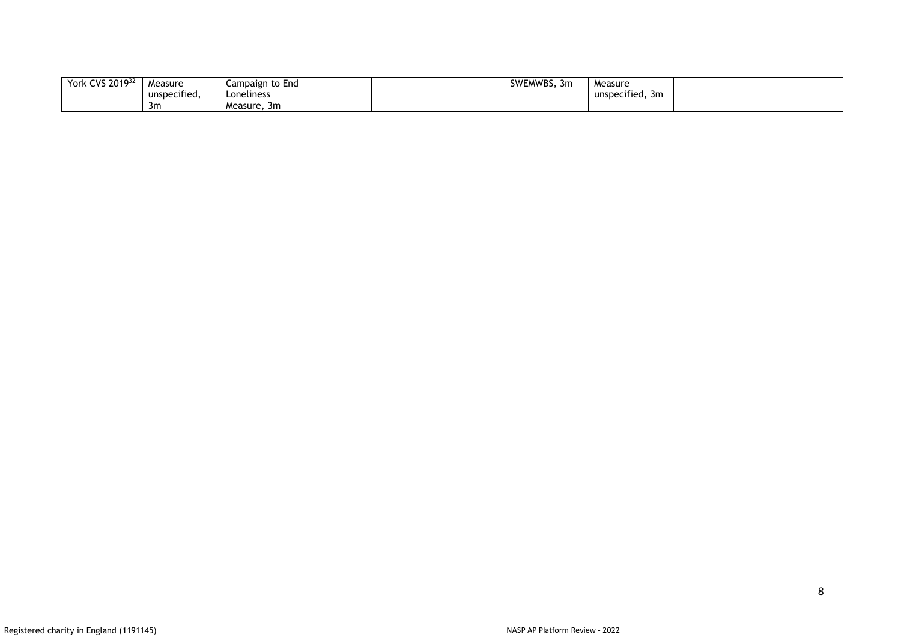| York CVS 201932 | Measure                   | Campaign to End |  | SWEMWBS.<br>. 3m | Measure         |  |
|-----------------|---------------------------|-----------------|--|------------------|-----------------|--|
|                 | $\cdot$ .<br>unspecified, | Loneliness      |  |                  | unspecified, 3m |  |
|                 | -3m                       | Measure.<br>-3m |  |                  |                 |  |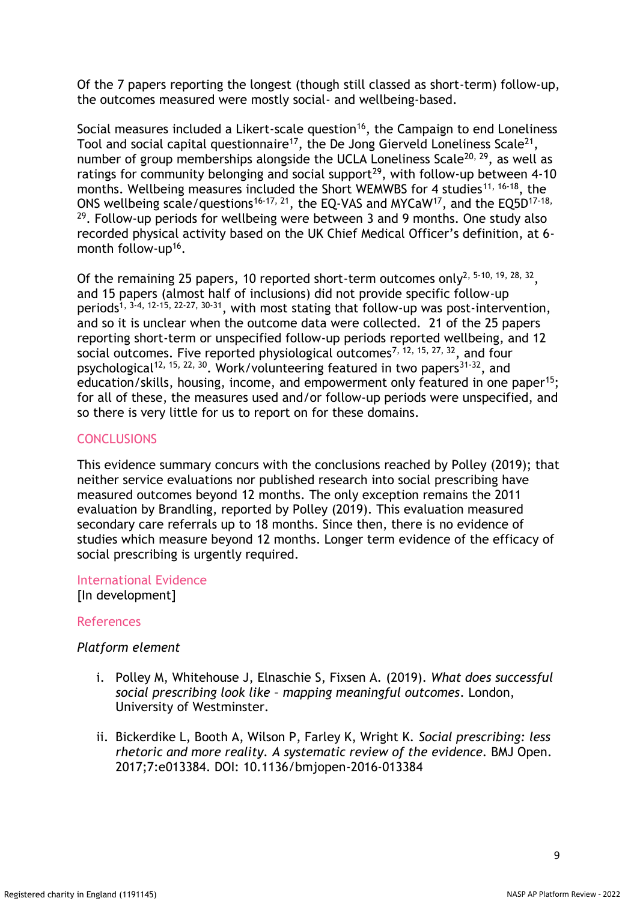Of the 7 papers reporting the longest (though still classed as short-term) follow-up, the outcomes measured were mostly social- and wellbeing-based.

Social measures included a Likert-scale question<sup>16</sup>, the Campaign to end Loneliness Tool and social capital questionnaire $^{17}$ , the De Jong Gierveld Loneliness Scale $^{21},$ number of group memberships alongside the UCLA Loneliness Scale<sup>20, 29</sup>, as well as ratings for community belonging and social support<sup>29</sup>, with follow-up between 4-10 months. Wellbeing measures included the Short WEMWBS for 4 studies<sup>11, 16-18</sup>, the ONS wellbeing scale/questions<sup>16-17, 21</sup>, the EQ-VAS and MYCaW<sup>17</sup>, and the EQ5D<sup>17-18,</sup>  $29$ . Follow-up periods for wellbeing were between 3 and 9 months. One study also recorded physical activity based on the UK Chief Medical Officer's definition, at 6 month follow-up<sup>16</sup>.

Of the remaining 25 papers, 10 reported short-term outcomes only<sup>2, 5-10, 19, 28, 32</sup>, and 15 papers (almost half of inclusions) did not provide specific follow-up periods<sup>1, 3-4, 12-15, 22-27, 30-31</sup>, with most stating that follow-up was post-intervention, and so it is unclear when the outcome data were collected. 21 of the 25 papers reporting short-term or unspecified follow-up periods reported wellbeing, and 12 social outcomes. Five reported physiological outcomes<sup>7, 12, 15, 27, 32</sup>, and four psychological<sup>12, 15, 22, 30</sup>. Work/volunteering featured in two papers<sup>31-32</sup>, and education/skills, housing, income, and empowerment only featured in one paper<sup>15</sup>; for all of these, the measures used and/or follow-up periods were unspecified, and so there is very little for us to report on for these domains.

# **CONCLUSIONS**

This evidence summary concurs with the conclusions reached by Polley (2019); that neither service evaluations nor published research into social prescribing have measured outcomes beyond 12 months. The only exception remains the 2011 evaluation by Brandling, reported by Polley (2019). This evaluation measured secondary care referrals up to 18 months. Since then, there is no evidence of studies which measure beyond 12 months. Longer term evidence of the efficacy of social prescribing is urgently required.

International Evidence [In development]

### References

### *Platform element*

- i. Polley M, Whitehouse J, Elnaschie S, Fixsen A. (2019). *What does successful social prescribing look like – mapping meaningful outcomes*. London, University of Westminster.
- ii. Bickerdike L, Booth A, Wilson P, Farley K, Wright K. *Social prescribing: less rhetoric and more reality. A systematic review of the evidence.* BMJ Open. 2017;7:e013384. DOI: 10.1136/bmjopen-2016-013384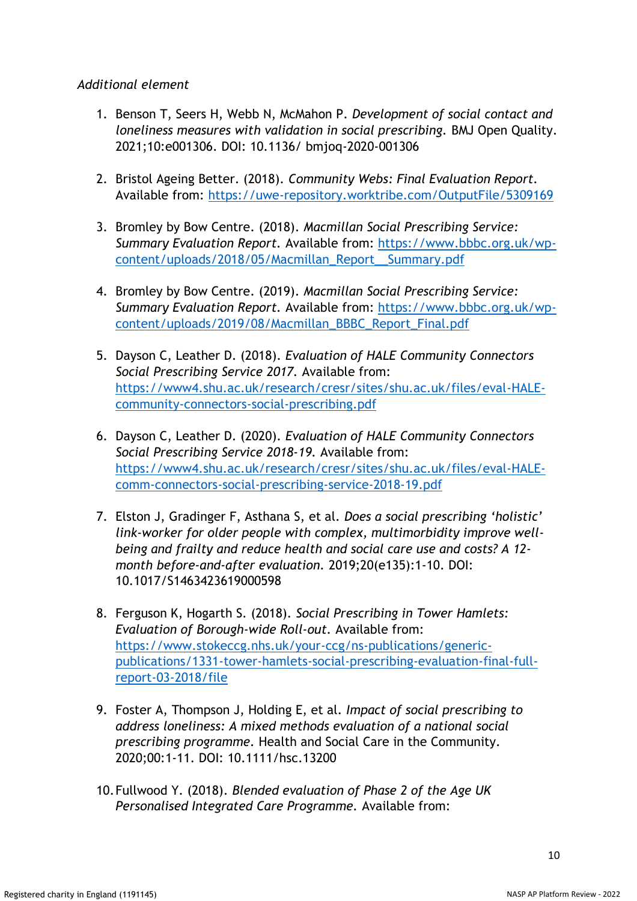# *Additional element*

- 1. Benson T, Seers H, Webb N, McMahon P. *Development of social contact and loneliness measures with validation in social prescribing.* BMJ Open Quality. 2021;10:e001306. DOI: 10.1136/ bmjoq-2020-001306
- 2. Bristol Ageing Better. (2018). *Community Webs: Final Evaluation Report.* Available from:<https://uwe-repository.worktribe.com/OutputFile/5309169>
- 3. Bromley by Bow Centre. (2018). *Macmillan Social Prescribing Service: Summary Evaluation Report.* Available from: [https://www.bbbc.org.uk/wp](https://www.bbbc.org.uk/wp-content/uploads/2018/05/Macmillan_Report__Summary.pdf)[content/uploads/2018/05/Macmillan\\_Report\\_\\_Summary.pdf](https://www.bbbc.org.uk/wp-content/uploads/2018/05/Macmillan_Report__Summary.pdf)
- 4. Bromley by Bow Centre. (2019). *Macmillan Social Prescribing Service: Summary Evaluation Report.* Available from: [https://www.bbbc.org.uk/wp](https://www.bbbc.org.uk/wp-content/uploads/2019/08/Macmillan_BBBC_Report_Final.pdf)[content/uploads/2019/08/Macmillan\\_BBBC\\_Report\\_Final.pdf](https://www.bbbc.org.uk/wp-content/uploads/2019/08/Macmillan_BBBC_Report_Final.pdf)
- 5. Dayson C, Leather D. (2018). *Evaluation of HALE Community Connectors Social Prescribing Service 2017.* Available from: [https://www4.shu.ac.uk/research/cresr/sites/shu.ac.uk/files/eval-HALE](https://www4.shu.ac.uk/research/cresr/sites/shu.ac.uk/files/eval-HALE-community-connectors-social-prescribing.pdf)[community-connectors-social-prescribing.pdf](https://www4.shu.ac.uk/research/cresr/sites/shu.ac.uk/files/eval-HALE-community-connectors-social-prescribing.pdf)
- 6. Dayson C, Leather D. (2020). *Evaluation of HALE Community Connectors Social Prescribing Service 2018-19.* Available from: [https://www4.shu.ac.uk/research/cresr/sites/shu.ac.uk/files/eval-HALE](https://www4.shu.ac.uk/research/cresr/sites/shu.ac.uk/files/eval-HALE-comm-connectors-social-prescribing-service-2018-19.pdf)[comm-connectors-social-prescribing-service-2018-19.pdf](https://www4.shu.ac.uk/research/cresr/sites/shu.ac.uk/files/eval-HALE-comm-connectors-social-prescribing-service-2018-19.pdf)
- 7. Elston J, Gradinger F, Asthana S, et al. *Does a social prescribing 'holistic' link-worker for older people with complex, multimorbidity improve wellbeing and frailty and reduce health and social care use and costs? A 12 month before-and-after evaluation.* 2019;20(e135):1-10. DOI: 10.1017/S1463423619000598
- 8. Ferguson K, Hogarth S. (2018). *Social Prescribing in Tower Hamlets: Evaluation of Borough-wide Roll-out.* Available from: [https://www.stokeccg.nhs.uk/your-ccg/ns-publications/generic](https://www.stokeccg.nhs.uk/your-ccg/ns-publications/generic-publications/1331-tower-hamlets-social-prescribing-evaluation-final-full-report-03-2018/file)[publications/1331-tower-hamlets-social-prescribing-evaluation-final-full](https://www.stokeccg.nhs.uk/your-ccg/ns-publications/generic-publications/1331-tower-hamlets-social-prescribing-evaluation-final-full-report-03-2018/file)[report-03-2018/file](https://www.stokeccg.nhs.uk/your-ccg/ns-publications/generic-publications/1331-tower-hamlets-social-prescribing-evaluation-final-full-report-03-2018/file)
- 9. Foster A, Thompson J, Holding E, et al. *Impact of social prescribing to address loneliness: A mixed methods evaluation of a national social prescribing programme.* Health and Social Care in the Community. 2020;00:1-11. DOI: 10.1111/hsc.13200
- 10.Fullwood Y. (2018). *Blended evaluation of Phase 2 of the Age UK Personalised Integrated Care Programme.* Available from: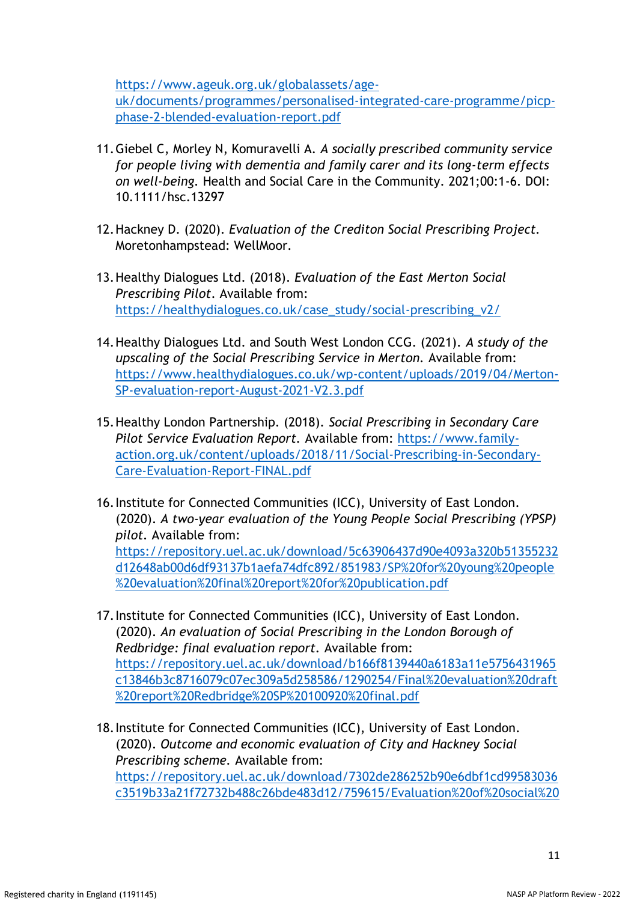[https://www.ageuk.org.uk/globalassets/age-](https://www.ageuk.org.uk/globalassets/age-uk/documents/programmes/personalised-integrated-care-programme/picp-phase-2-blended-evaluation-report.pdf)

[uk/documents/programmes/personalised-integrated-care-programme/picp](https://www.ageuk.org.uk/globalassets/age-uk/documents/programmes/personalised-integrated-care-programme/picp-phase-2-blended-evaluation-report.pdf)[phase-2-blended-evaluation-report.pdf](https://www.ageuk.org.uk/globalassets/age-uk/documents/programmes/personalised-integrated-care-programme/picp-phase-2-blended-evaluation-report.pdf)

- 11.Giebel C, Morley N, Komuravelli A. *A socially prescribed community service for people living with dementia and family carer and its long-term effects on well-being.* Health and Social Care in the Community. 2021;00:1-6. DOI: 10.1111/hsc.13297
- 12.Hackney D. (2020). *Evaluation of the Crediton Social Prescribing Project.*  Moretonhampstead: WellMoor.
- 13.Healthy Dialogues Ltd. (2018). *Evaluation of the East Merton Social Prescribing Pilot*. Available from: [https://healthydialogues.co.uk/case\\_study/social-prescribing\\_v2/](https://healthydialogues.co.uk/case_study/social-prescribing_v2/)
- 14.Healthy Dialogues Ltd. and South West London CCG. (2021). *A study of the upscaling of the Social Prescribing Service in Merton.* Available from: [https://www.healthydialogues.co.uk/wp-content/uploads/2019/04/Merton-](https://www.healthydialogues.co.uk/wp-content/uploads/2019/04/Merton-SP-evaluation-report-August-2021-V2.3.pdf)[SP-evaluation-report-August-2021-V2.3.pdf](https://www.healthydialogues.co.uk/wp-content/uploads/2019/04/Merton-SP-evaluation-report-August-2021-V2.3.pdf)
- 15.Healthy London Partnership. (2018). *Social Prescribing in Secondary Care Pilot Service Evaluation Report.* Available from: [https://www.family](https://www.family-action.org.uk/content/uploads/2018/11/Social-Prescribing-in-Secondary-Care-Evaluation-Report-FINAL.pdf)[action.org.uk/content/uploads/2018/11/Social-Prescribing-in-Secondary-](https://www.family-action.org.uk/content/uploads/2018/11/Social-Prescribing-in-Secondary-Care-Evaluation-Report-FINAL.pdf)[Care-Evaluation-Report-FINAL.pdf](https://www.family-action.org.uk/content/uploads/2018/11/Social-Prescribing-in-Secondary-Care-Evaluation-Report-FINAL.pdf)
- 16.Institute for Connected Communities (ICC), University of East London. (2020). *A two-year evaluation of the Young People Social Prescribing (YPSP) pilot.* Available from: [https://repository.uel.ac.uk/download/5c63906437d90e4093a320b51355232](https://repository.uel.ac.uk/download/5c63906437d90e4093a320b51355232d12648ab00d6df93137b1aefa74dfc892/851983/SP%20for%20young%20people%20evaluation%20final%20report%20for%20publication.pdf) [d12648ab00d6df93137b1aefa74dfc892/851983/SP%20for%20young%20people](https://repository.uel.ac.uk/download/5c63906437d90e4093a320b51355232d12648ab00d6df93137b1aefa74dfc892/851983/SP%20for%20young%20people%20evaluation%20final%20report%20for%20publication.pdf) [%20evaluation%20final%20report%20for%20publication.pdf](https://repository.uel.ac.uk/download/5c63906437d90e4093a320b51355232d12648ab00d6df93137b1aefa74dfc892/851983/SP%20for%20young%20people%20evaluation%20final%20report%20for%20publication.pdf)
- 17.Institute for Connected Communities (ICC), University of East London. (2020). *An evaluation of Social Prescribing in the London Borough of Redbridge: final evaluation report.* Available from: [https://repository.uel.ac.uk/download/b166f8139440a6183a11e5756431965](https://repository.uel.ac.uk/download/b166f8139440a6183a11e5756431965c13846b3c8716079c07ec309a5d258586/1290254/Final%20evaluation%20draft%20report%20Redbridge%20SP%20100920%20final.pdf) [c13846b3c8716079c07ec309a5d258586/1290254/Final%20evaluation%20draft](https://repository.uel.ac.uk/download/b166f8139440a6183a11e5756431965c13846b3c8716079c07ec309a5d258586/1290254/Final%20evaluation%20draft%20report%20Redbridge%20SP%20100920%20final.pdf) [%20report%20Redbridge%20SP%20100920%20final.pdf](https://repository.uel.ac.uk/download/b166f8139440a6183a11e5756431965c13846b3c8716079c07ec309a5d258586/1290254/Final%20evaluation%20draft%20report%20Redbridge%20SP%20100920%20final.pdf)
- 18.Institute for Connected Communities (ICC), University of East London. (2020). *Outcome and economic evaluation of City and Hackney Social Prescribing scheme.* Available from: [https://repository.uel.ac.uk/download/7302de286252b90e6dbf1cd99583036](https://repository.uel.ac.uk/download/7302de286252b90e6dbf1cd99583036c3519b33a21f72732b488c26bde483d12/759615/Evaluation%20of%20social%20prescribing%20in%20Hackney%20and%20City%20-%20UEL%20final%20sub%20.pdf) [c3519b33a21f72732b488c26bde483d12/759615/Evaluation%20of%20social%20](https://repository.uel.ac.uk/download/7302de286252b90e6dbf1cd99583036c3519b33a21f72732b488c26bde483d12/759615/Evaluation%20of%20social%20prescribing%20in%20Hackney%20and%20City%20-%20UEL%20final%20sub%20.pdf)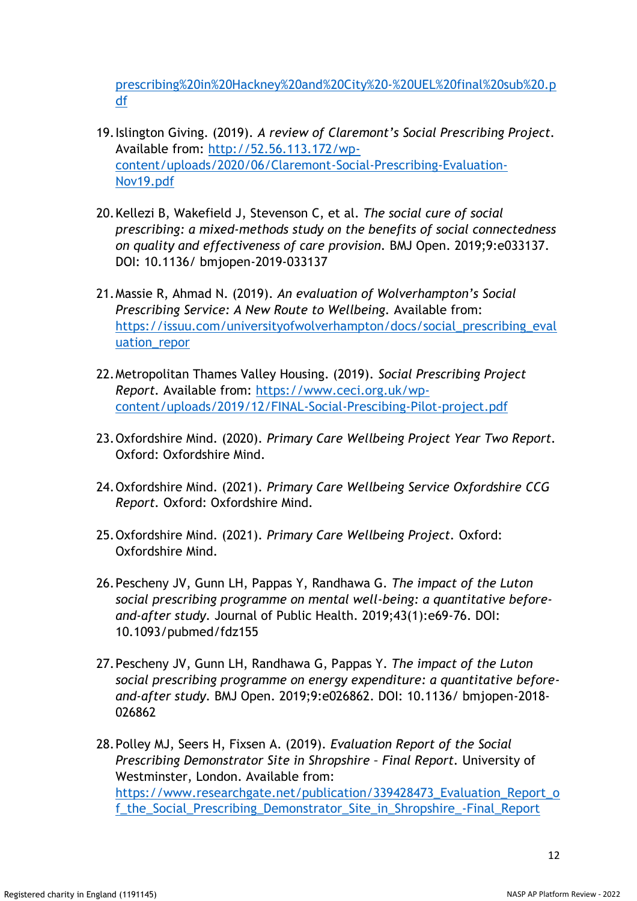[prescribing%20in%20Hackney%20and%20City%20-%20UEL%20final%20sub%20.p](https://repository.uel.ac.uk/download/7302de286252b90e6dbf1cd99583036c3519b33a21f72732b488c26bde483d12/759615/Evaluation%20of%20social%20prescribing%20in%20Hackney%20and%20City%20-%20UEL%20final%20sub%20.pdf) [df](https://repository.uel.ac.uk/download/7302de286252b90e6dbf1cd99583036c3519b33a21f72732b488c26bde483d12/759615/Evaluation%20of%20social%20prescribing%20in%20Hackney%20and%20City%20-%20UEL%20final%20sub%20.pdf)

- 19.Islington Giving. (2019). *A review of Claremont's Social Prescribing Project.* Available from: [http://52.56.113.172/wp](http://52.56.113.172/wp-content/uploads/2020/06/Claremont-Social-Prescribing-Evaluation-Nov19.pdf)[content/uploads/2020/06/Claremont-Social-Prescribing-Evaluation-](http://52.56.113.172/wp-content/uploads/2020/06/Claremont-Social-Prescribing-Evaluation-Nov19.pdf)[Nov19.pdf](http://52.56.113.172/wp-content/uploads/2020/06/Claremont-Social-Prescribing-Evaluation-Nov19.pdf)
- 20.Kellezi B, Wakefield J, Stevenson C, et al. *The social cure of social prescribing: a mixed-methods study on the benefits of social connectedness on quality and effectiveness of care provision.* BMJ Open. 2019;9:e033137. DOI: 10.1136/ bmjopen-2019-033137
- 21.Massie R, Ahmad N. (2019). *An evaluation of Wolverhampton's Social Prescribing Service: A New Route to Wellbeing.* Available from: [https://issuu.com/universityofwolverhampton/docs/social\\_prescribing\\_eval](https://issuu.com/universityofwolverhampton/docs/social_prescribing_evaluation_repor) [uation\\_repor](https://issuu.com/universityofwolverhampton/docs/social_prescribing_evaluation_repor)
- 22.Metropolitan Thames Valley Housing. (2019). *Social Prescribing Project Report.* Available from: [https://www.ceci.org.uk/wp](https://www.ceci.org.uk/wp-content/uploads/2019/12/FINAL-Social-Prescibing-Pilot-project.pdf)[content/uploads/2019/12/FINAL-Social-Prescibing-Pilot-project.pdf](https://www.ceci.org.uk/wp-content/uploads/2019/12/FINAL-Social-Prescibing-Pilot-project.pdf)
- 23.Oxfordshire Mind. (2020). *Primary Care Wellbeing Project Year Two Report.* Oxford: Oxfordshire Mind.
- 24.Oxfordshire Mind. (2021). *Primary Care Wellbeing Service Oxfordshire CCG Report.* Oxford: Oxfordshire Mind.
- 25.Oxfordshire Mind. (2021). *Primary Care Wellbeing Project.* Oxford: Oxfordshire Mind.
- 26.Pescheny JV, Gunn LH, Pappas Y, Randhawa G. *The impact of the Luton social prescribing programme on mental well-being: a quantitative beforeand-after study.* Journal of Public Health. 2019;43(1):e69-76. DOI: 10.1093/pubmed/fdz155
- 27.Pescheny JV, Gunn LH, Randhawa G, Pappas Y. *The impact of the Luton social prescribing programme on energy expenditure: a quantitative beforeand-after study.* BMJ Open. 2019;9:e026862. DOI: 10.1136/ bmjopen-2018- 026862
- 28.Polley MJ, Seers H, Fixsen A. (2019). *Evaluation Report of the Social Prescribing Demonstrator Site in Shropshire – Final Report.* University of Westminster, London. Available from: [https://www.researchgate.net/publication/339428473\\_Evaluation\\_Report\\_o](https://www.researchgate.net/publication/339428473_Evaluation_Report_of_the_Social_Prescribing_Demonstrator_Site_in_Shropshire_-Final_Report) [f\\_the\\_Social\\_Prescribing\\_Demonstrator\\_Site\\_in\\_Shropshire\\_-Final\\_Report](https://www.researchgate.net/publication/339428473_Evaluation_Report_of_the_Social_Prescribing_Demonstrator_Site_in_Shropshire_-Final_Report)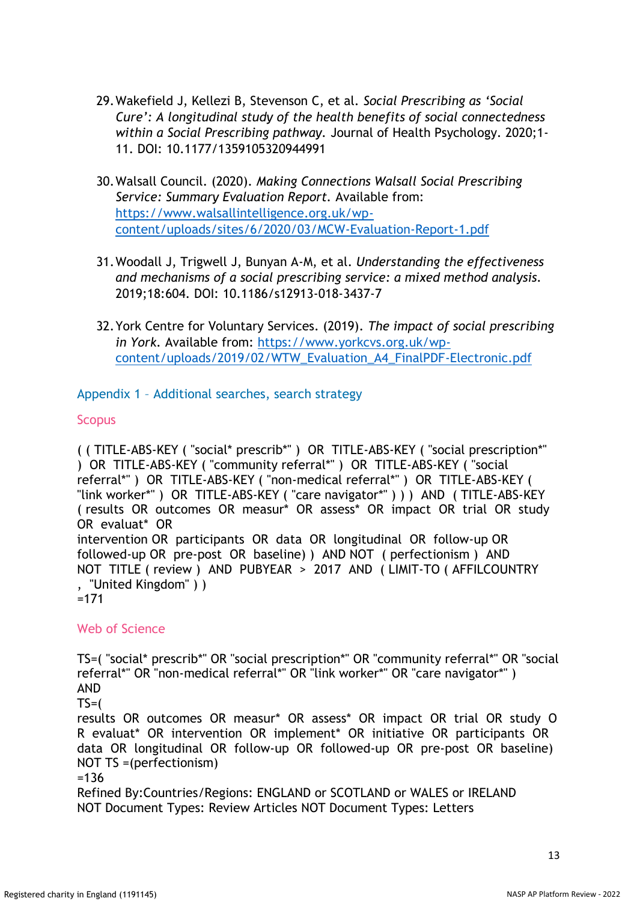- 29.Wakefield J, Kellezi B, Stevenson C, et al. *Social Prescribing as 'Social Cure': A longitudinal study of the health benefits of social connectedness within a Social Prescribing pathway.* Journal of Health Psychology. 2020;1- 11. DOI: 10.1177/1359105320944991
- 30.Walsall Council. (2020). *Making Connections Walsall Social Prescribing Service: Summary Evaluation Report.* Available from: [https://www.walsallintelligence.org.uk/wp](https://www.walsallintelligence.org.uk/wp-content/uploads/sites/6/2020/03/MCW-Evaluation-Report-1.pdf)[content/uploads/sites/6/2020/03/MCW-Evaluation-Report-1.pdf](https://www.walsallintelligence.org.uk/wp-content/uploads/sites/6/2020/03/MCW-Evaluation-Report-1.pdf)
- 31.Woodall J, Trigwell J, Bunyan A-M, et al. *Understanding the effectiveness and mechanisms of a social prescribing service: a mixed method analysis.* 2019;18:604. DOI: 10.1186/s12913-018-3437-7
- 32.York Centre for Voluntary Services. (2019). *The impact of social prescribing in York.* Available from: [https://www.yorkcvs.org.uk/wp](https://www.yorkcvs.org.uk/wp-content/uploads/2019/02/WTW_Evaluation_A4_FinalPDF-Electronic.pdf)[content/uploads/2019/02/WTW\\_Evaluation\\_A4\\_FinalPDF-Electronic.pdf](https://www.yorkcvs.org.uk/wp-content/uploads/2019/02/WTW_Evaluation_A4_FinalPDF-Electronic.pdf)

Appendix 1 – Additional searches, search strategy

### **Scopus**

( ( TITLE-ABS-KEY ( "social\* prescrib\*" ) OR TITLE-ABS-KEY ( "social prescription\*" ) OR TITLE-ABS-KEY ( "community referral\*" ) OR TITLE-ABS-KEY ( "social referral\*" ) OR TITLE-ABS-KEY ( "non-medical referral\*" ) OR TITLE-ABS-KEY ( "link worker\*" ) OR TITLE-ABS-KEY ( "care navigator\*" ) ) ) AND ( TITLE-ABS-KEY ( results OR outcomes OR measur\* OR assess\* OR impact OR trial OR study OR evaluat\* OR intervention OR participants OR data OR longitudinal OR follow-up OR followed-up OR pre-post OR baseline) ) AND NOT ( perfectionism ) AND NOT TITLE ( review ) AND PUBYEAR > 2017 AND ( LIMIT-TO ( AFFILCOUNTRY , "United Kingdom" ) )

 $=171$ 

# Web of Science

TS=( "social\* prescrib\*" OR "social prescription\*" OR "community referral\*" OR "social referral\*" OR "non-medical referral\*" OR "link worker\*" OR "care navigator\*") AND

 $TS=$ (

results OR outcomes OR measur\* OR assess\* OR impact OR trial OR study O R evaluat\* OR intervention OR implement\* OR initiative OR participants OR data OR longitudinal OR follow-up OR followed-up OR pre-post OR baseline) NOT TS =(perfectionism)

=136

Refined By:Countries/Regions: ENGLAND or SCOTLAND or WALES or IRELAND NOT Document Types: Review Articles NOT Document Types: Letters